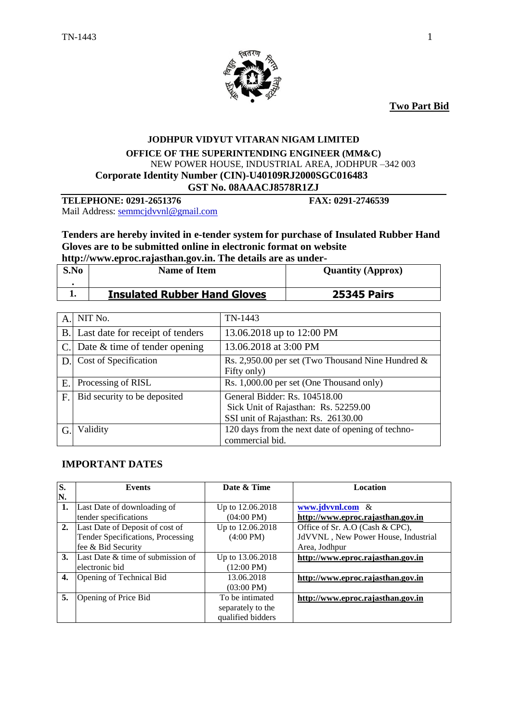

**Two Part Bid**

#### **JODHPUR VIDYUT VITARAN NIGAM LIMITED OFFICE OF THE SUPERINTENDING ENGINEER (MM&C)** NEW POWER HOUSE, INDUSTRIAL AREA, JODHPUR –342 003  **Corporate Identity Number (CIN)-U40109RJ2000SGC016483 GST No. 08AAACJ8578R1ZJ**

**TELEPHONE: 0291-2651376 FAX: 0291-2746539**

Mail Address: [semmcjdvvnl@gmail.com](mailto:semmcjdvvnl@gmail.com)

**Tenders are hereby invited in e-tender system for purchase of Insulated Rubber Hand Gloves are to be submitted online in electronic format on website** 

**http://www.eproc.rajasthan.gov.in. The details are as under-**

| S.No | <b>Name of Item</b>                 | <b>Quantity (Approx)</b> |
|------|-------------------------------------|--------------------------|
|      | <b>Insulated Rubber Hand Gloves</b> | <b>25345 Pairs</b>       |

| A.        | NIT No.                          | TN-1443                                              |
|-----------|----------------------------------|------------------------------------------------------|
| <b>B.</b> | Last date for receipt of tenders | 13.06.2018 up to 12:00 PM                            |
|           | Date $\&$ time of tender opening | 13.06.2018 at 3:00 PM                                |
| D.        | Cost of Specification            | Rs. 2,950.00 per set (Two Thousand Nine Hundred $\&$ |
|           |                                  | Fifty only)                                          |
| E         | Processing of RISL               | Rs. 1,000.00 per set (One Thousand only)             |
| F.        | Bid security to be deposited     | General Bidder: Rs. 104518.00                        |
|           |                                  | Sick Unit of Rajasthan: Rs. 52259.00                 |
|           |                                  | SSI unit of Rajasthan: Rs. 26130.00                  |
|           | Validity                         | 120 days from the next date of opening of techno-    |
|           |                                  | commercial bid.                                      |

## **IMPORTANT DATES**

| S. | <b>Events</b>                     | Date & Time          | Location                            |
|----|-----------------------------------|----------------------|-------------------------------------|
| N. |                                   |                      |                                     |
| 1. | Last Date of downloading of       | Up to 12.06.2018     | www.jdvvnl.com &                    |
|    | tender specifications             | $(04:00 \text{ PM})$ | http://www.eproc.rajasthan.gov.in   |
| 2. | Last Date of Deposit of cost of   | Up to 12.06.2018     | Office of Sr. A.O (Cash & CPC),     |
|    | Tender Specifications, Processing | $(4:00 \text{ PM})$  | JdVVNL, New Power House, Industrial |
|    | fee & Bid Security                |                      | Area, Jodhpur                       |
| 3. | Last Date & time of submission of | Up to 13.06.2018     | http://www.eproc.rajasthan.gov.in   |
|    | electronic bid                    | $(12:00 \text{ PM})$ |                                     |
| 4. | Opening of Technical Bid          | 13.06.2018           | http://www.eproc.rajasthan.gov.in   |
|    |                                   | $(03:00 \text{ PM})$ |                                     |
| 5. | Opening of Price Bid              | To be intimated      | http://www.eproc.rajasthan.gov.in   |
|    |                                   | separately to the    |                                     |
|    |                                   | qualified bidders    |                                     |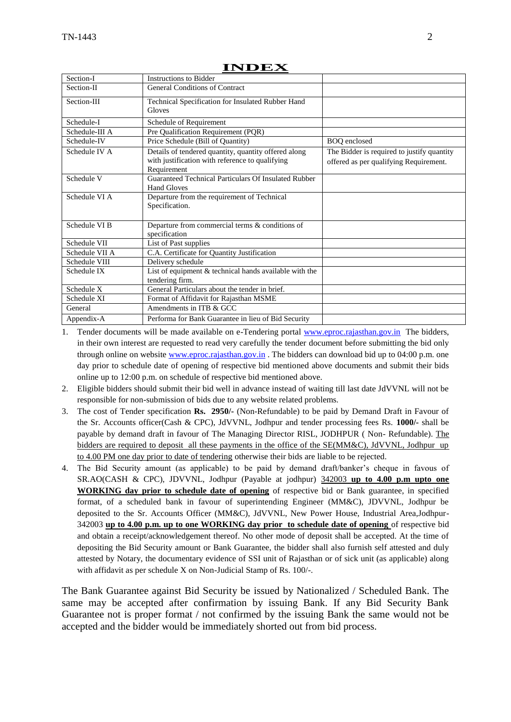| Section-I                | <b>Instructions to Bidder</b>                                                                                          |                                                                                      |
|--------------------------|------------------------------------------------------------------------------------------------------------------------|--------------------------------------------------------------------------------------|
| Section-II               | General Conditions of Contract                                                                                         |                                                                                      |
| Section-III              | Technical Specification for Insulated Rubber Hand<br>Gloves                                                            |                                                                                      |
| Schedule-I               | Schedule of Requirement                                                                                                |                                                                                      |
| Schedule-III A           | Pre Qualification Requirement (PQR)                                                                                    |                                                                                      |
| Schedule-IV              | Price Schedule (Bill of Quantity)                                                                                      | <b>BOQ</b> enclosed                                                                  |
| Schedule IV A            | Details of tendered quantity, quantity offered along<br>with justification with reference to qualifying<br>Requirement | The Bidder is required to justify quantity<br>offered as per qualifying Requirement. |
| Schedule V               | Guaranteed Technical Particulars Of Insulated Rubber<br><b>Hand Gloves</b>                                             |                                                                                      |
| Schedule VI A            | Departure from the requirement of Technical<br>Specification.                                                          |                                                                                      |
| Schedule VI <sub>B</sub> | Departure from commercial terms & conditions of<br>specification                                                       |                                                                                      |
| Schedule VII             | List of Past supplies                                                                                                  |                                                                                      |
| Schedule VII A           | C.A. Certificate for Quantity Justification                                                                            |                                                                                      |
| Schedule VIII            | Delivery schedule                                                                                                      |                                                                                      |
| Schedule IX              | List of equipment & technical hands available with the<br>tendering firm.                                              |                                                                                      |
| Schedule X               | General Particulars about the tender in brief.                                                                         |                                                                                      |
| Schedule XI              | Format of Affidavit for Rajasthan MSME                                                                                 |                                                                                      |
| General                  | Amendments in ITB & GCC                                                                                                |                                                                                      |
| Appendix-A               | Performa for Bank Guarantee in lieu of Bid Security                                                                    |                                                                                      |

**INDEX**

1. Tender documents will be made available on e-Tendering portal [www.eproc.rajasthan.gov.in](http://www.eproc.rajasthan.gov.in/) The bidders, in their own interest are requested to read very carefully the tender document before submitting the bid only through online on website [www.eproc.rajasthan.gov.in](http://www.eproc.rajasthan.gov.in/) . The bidders can download bid up to 04:00 p.m. one day prior to schedule date of opening of respective bid mentioned above documents and submit their bids online up to 12:00 p.m. on schedule of respective bid mentioned above.

- 2. Eligible bidders should submit their bid well in advance instead of waiting till last date JdVVNL will not be responsible for non-submission of bids due to any website related problems.
- 3. The cost of Tender specification **Rs. 2950/-** (Non-Refundable) to be paid by Demand Draft in Favour of the Sr. Accounts officer(Cash & CPC), JdVVNL, Jodhpur and tender processing fees Rs. **1000/-** shall be payable by demand draft in favour of The Managing Director RISL, JODHPUR ( Non- Refundable). The bidders are required to deposit all these payments in the office of the SE(MM&C), JdVVNL, Jodhpur up to 4.00 PM one day prior to date of tendering otherwise their bids are liable to be rejected.
- 4. The Bid Security amount (as applicable) to be paid by demand draft/banker"s cheque in favous of SR.AO(CASH & CPC), JDVVNL, Jodhpur (Payable at jodhpur) 342003 **up to 4.00 p.m upto one WORKING day prior to schedule date of opening** of respective bid or Bank guarantee, in specified format, of a scheduled bank in favour of superintending Engineer (MM&C), JDVVNL, Jodhpur be deposited to the Sr. Accounts Officer (MM&C), JdVVNL, New Power House, Industrial Area,Jodhpur-342003 **up to 4.00 p.m. up to one WORKING day prior to schedule date of opening** of respective bid and obtain a receipt/acknowledgement thereof. No other mode of deposit shall be accepted. At the time of depositing the Bid Security amount or Bank Guarantee, the bidder shall also furnish self attested and duly attested by Notary, the documentary evidence of SSI unit of Rajasthan or of sick unit (as applicable) along with affidavit as per schedule X on Non-Judicial Stamp of Rs. 100/-.

The Bank Guarantee against Bid Security be issued by Nationalized / Scheduled Bank. The same may be accepted after confirmation by issuing Bank. If any Bid Security Bank Guarantee not is proper format / not confirmed by the issuing Bank the same would not be accepted and the bidder would be immediately shorted out from bid process.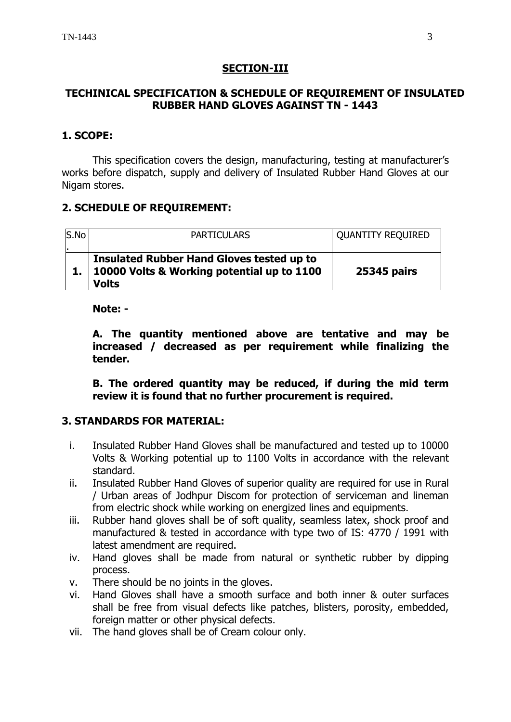## **SECTION-III**

## **TECHINICAL SPECIFICATION & SCHEDULE OF REQUIREMENT OF INSULATED RUBBER HAND GLOVES AGAINST TN - 1443**

## **1. SCOPE:**

This specification covers the design, manufacturing, testing at manufacturer's works before dispatch, supply and delivery of Insulated Rubber Hand Gloves at our Nigam stores.

## **2. SCHEDULE OF REQUIREMENT:**

| S.No | <b>PARTICULARS</b>                                                                                                | <b>QUANTITY REQUIRED</b> |
|------|-------------------------------------------------------------------------------------------------------------------|--------------------------|
|      | <b>Insulated Rubber Hand Gloves tested up to</b><br>1. 10000 Volts & Working potential up to 1100<br><b>Volts</b> | <b>25345 pairs</b>       |

## **Note: -**

**A. The quantity mentioned above are tentative and may be increased / decreased as per requirement while finalizing the tender.**

**B. The ordered quantity may be reduced, if during the mid term review it is found that no further procurement is required.**

## **3. STANDARDS FOR MATERIAL:**

- i. Insulated Rubber Hand Gloves shall be manufactured and tested up to 10000 Volts & Working potential up to 1100 Volts in accordance with the relevant standard.
- ii. Insulated Rubber Hand Gloves of superior quality are required for use in Rural / Urban areas of Jodhpur Discom for protection of serviceman and lineman from electric shock while working on energized lines and equipments.
- iii. Rubber hand gloves shall be of soft quality, seamless latex, shock proof and manufactured & tested in accordance with type two of IS: 4770 / 1991 with latest amendment are required.
- iv. Hand gloves shall be made from natural or synthetic rubber by dipping process.
- v. There should be no joints in the gloves.
- vi. Hand Gloves shall have a smooth surface and both inner & outer surfaces shall be free from visual defects like patches, blisters, porosity, embedded, foreign matter or other physical defects.
- vii. The hand gloves shall be of Cream colour only.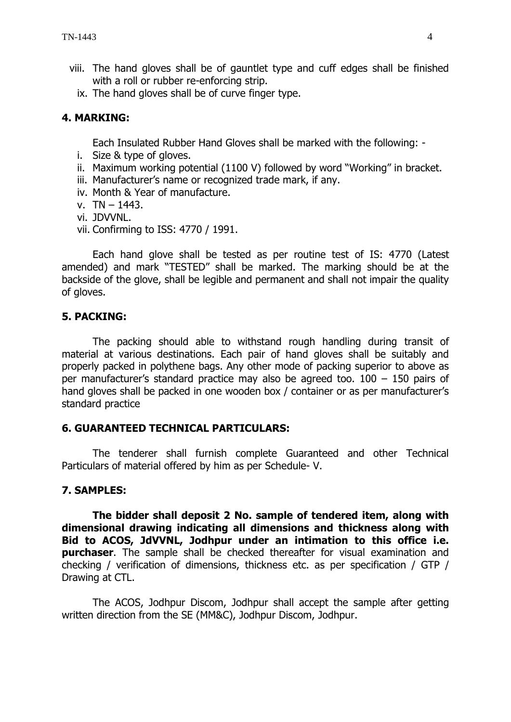- viii. The hand gloves shall be of gauntlet type and cuff edges shall be finished with a roll or rubber re-enforcing strip.
	- ix. The hand gloves shall be of curve finger type.

## **4. MARKING:**

Each Insulated Rubber Hand Gloves shall be marked with the following: -

- i. Size & type of gloves.
- ii. Maximum working potential (1100 V) followed by word "Working" in bracket.
- iii. Manufacturer's name or recognized trade mark, if any.
- iv. Month & Year of manufacture.
- v. TN 1443.
- vi. JDVVNL.
- vii. Confirming to ISS: 4770 / 1991.

Each hand glove shall be tested as per routine test of IS: 4770 (Latest amended) and mark "TESTED" shall be marked. The marking should be at the backside of the glove, shall be legible and permanent and shall not impair the quality of gloves.

## **5. PACKING:**

The packing should able to withstand rough handling during transit of material at various destinations. Each pair of hand gloves shall be suitably and properly packed in polythene bags. Any other mode of packing superior to above as per manufacturer's standard practice may also be agreed too. 100 – 150 pairs of hand gloves shall be packed in one wooden box / container or as per manufacturer's standard practice

## **6. GUARANTEED TECHNICAL PARTICULARS:**

The tenderer shall furnish complete Guaranteed and other Technical Particulars of material offered by him as per Schedule- V.

## **7. SAMPLES:**

**The bidder shall deposit 2 No. sample of tendered item, along with dimensional drawing indicating all dimensions and thickness along with Bid to ACOS, JdVVNL, Jodhpur under an intimation to this office i.e. purchaser.** The sample shall be checked thereafter for visual examination and checking / verification of dimensions, thickness etc. as per specification / GTP / Drawing at CTL.

The ACOS, Jodhpur Discom, Jodhpur shall accept the sample after getting written direction from the SE (MM&C), Jodhpur Discom, Jodhpur.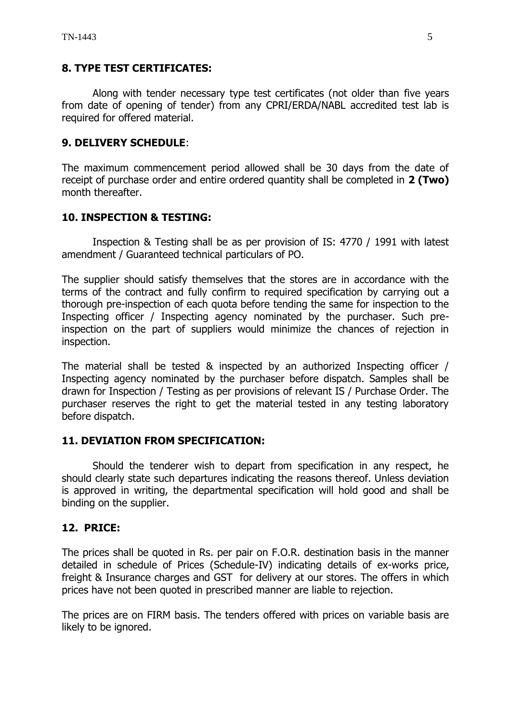## **8. TYPE TEST CERTIFICATES:**

Along with tender necessary type test certificates (not older than five years from date of opening of tender) from any CPRI/ERDA/NABL accredited test lab is required for offered material.

## **9. DELIVERY SCHEDULE**:

The maximum commencement period allowed shall be 30 days from the date of receipt of purchase order and entire ordered quantity shall be completed in **2 (Two)** month thereafter.

## **10. INSPECTION & TESTING:**

Inspection & Testing shall be as per provision of IS: 4770 / 1991 with latest amendment / Guaranteed technical particulars of PO.

The supplier should satisfy themselves that the stores are in accordance with the terms of the contract and fully confirm to required specification by carrying out a thorough pre-inspection of each quota before tending the same for inspection to the Inspecting officer / Inspecting agency nominated by the purchaser. Such preinspection on the part of suppliers would minimize the chances of rejection in inspection.

The material shall be tested & inspected by an authorized Inspecting officer / Inspecting agency nominated by the purchaser before dispatch. Samples shall be drawn for Inspection / Testing as per provisions of relevant IS / Purchase Order. The purchaser reserves the right to get the material tested in any testing laboratory before dispatch.

## **11. DEVIATION FROM SPECIFICATION:**

Should the tenderer wish to depart from specification in any respect, he should clearly state such departures indicating the reasons thereof. Unless deviation is approved in writing, the departmental specification will hold good and shall be binding on the supplier.

## **12. PRICE:**

The prices shall be quoted in Rs. per pair on F.O.R. destination basis in the manner detailed in schedule of Prices (Schedule-IV) indicating details of ex-works price, freight & Insurance charges and GST for delivery at our stores. The offers in which prices have not been quoted in prescribed manner are liable to rejection.

The prices are on FIRM basis. The tenders offered with prices on variable basis are likely to be ignored.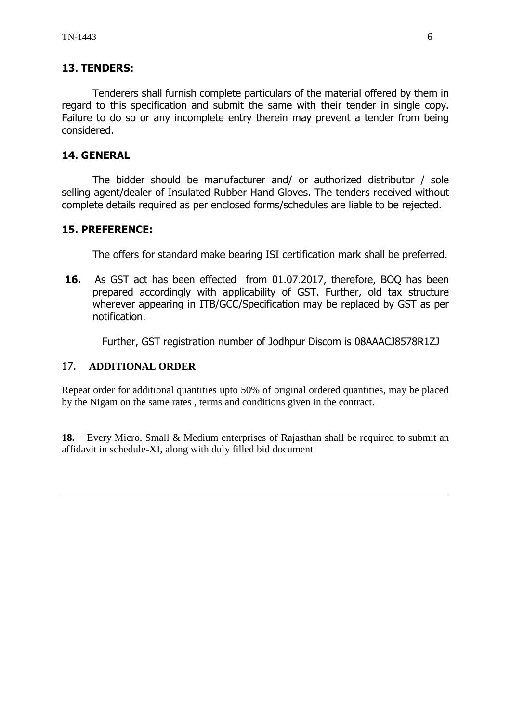## **13. TENDERS:**

Tenderers shall furnish complete particulars of the material offered by them in regard to this specification and submit the same with their tender in single copy. Failure to do so or any incomplete entry therein may prevent a tender from being considered.

## **14. GENERAL**

The bidder should be manufacturer and/ or authorized distributor / sole selling agent/dealer of Insulated Rubber Hand Gloves. The tenders received without complete details required as per enclosed forms/schedules are liable to be rejected.

## **15. PREFERENCE:**

The offers for standard make bearing ISI certification mark shall be preferred.

**16.** As GST act has been effected from 01.07.2017, therefore, BOQ has been prepared accordingly with applicability of GST. Further, old tax structure wherever appearing in ITB/GCC/Specification may be replaced by GST as per notification.

Further, GST registration number of Jodhpur Discom is 08AAACJ8578R1ZJ

## 17. **ADDITIONAL ORDER**

Repeat order for additional quantities upto 50% of original ordered quantities, may be placed by the Nigam on the same rates , terms and conditions given in the contract.

**18.** Every Micro, Small & Medium enterprises of Rajasthan shall be required to submit an affidavit in schedule-XI, along with duly filled bid document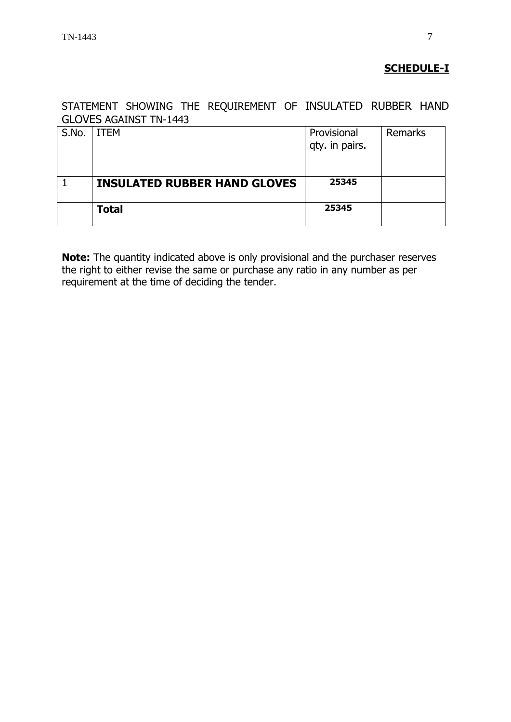## **SCHEDULE-I**

STATEMENT SHOWING THE REQUIREMENT OF INSULATED RUBBER HAND GLOVES AGAINST TN-1443

| S.No. | <b>ITEM</b>                         | Provisional<br>qty. in pairs. | Remarks |
|-------|-------------------------------------|-------------------------------|---------|
|       | <b>INSULATED RUBBER HAND GLOVES</b> | 25345                         |         |
|       | <b>Total</b>                        | 25345                         |         |

**Note:** The quantity indicated above is only provisional and the purchaser reserves the right to either revise the same or purchase any ratio in any number as per requirement at the time of deciding the tender.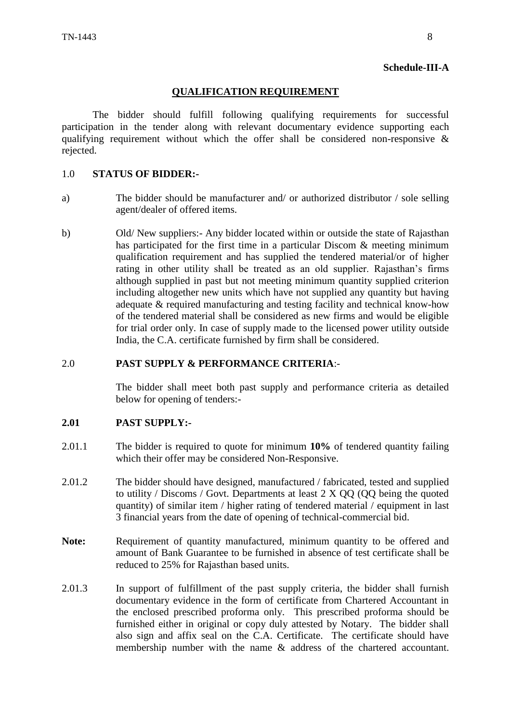#### **Schedule-III-A**

#### **QUALIFICATION REQUIREMENT**

The bidder should fulfill following qualifying requirements for successful participation in the tender along with relevant documentary evidence supporting each qualifying requirement without which the offer shall be considered non-responsive  $\&$ rejected.

#### 1.0 **STATUS OF BIDDER:-**

- a) The bidder should be manufacturer and/ or authorized distributor / sole selling agent/dealer of offered items.
- b) Old/ New suppliers:- Any bidder located within or outside the state of Rajasthan has participated for the first time in a particular Discom & meeting minimum qualification requirement and has supplied the tendered material/or of higher rating in other utility shall be treated as an old supplier. Rajasthan"s firms although supplied in past but not meeting minimum quantity supplied criterion including altogether new units which have not supplied any quantity but having adequate & required manufacturing and testing facility and technical know-how of the tendered material shall be considered as new firms and would be eligible for trial order only. In case of supply made to the licensed power utility outside India, the C.A. certificate furnished by firm shall be considered.

#### 2.0 **PAST SUPPLY & PERFORMANCE CRITERIA**:-

The bidder shall meet both past supply and performance criteria as detailed below for opening of tenders:-

## **2.01 PAST SUPPLY:-**

- 2.01.1 The bidder is required to quote for minimum **10%** of tendered quantity failing which their offer may be considered Non-Responsive.
- 2.01.2 The bidder should have designed, manufactured / fabricated, tested and supplied to utility / Discoms / Govt. Departments at least 2 X QQ (QQ being the quoted quantity) of similar item / higher rating of tendered material / equipment in last 3 financial years from the date of opening of technical-commercial bid.
- **Note:** Requirement of quantity manufactured, minimum quantity to be offered and amount of Bank Guarantee to be furnished in absence of test certificate shall be reduced to 25% for Rajasthan based units.
- 2.01.3 In support of fulfillment of the past supply criteria, the bidder shall furnish documentary evidence in the form of certificate from Chartered Accountant in the enclosed prescribed proforma only. This prescribed proforma should be furnished either in original or copy duly attested by Notary. The bidder shall also sign and affix seal on the C.A. Certificate. The certificate should have membership number with the name & address of the chartered accountant.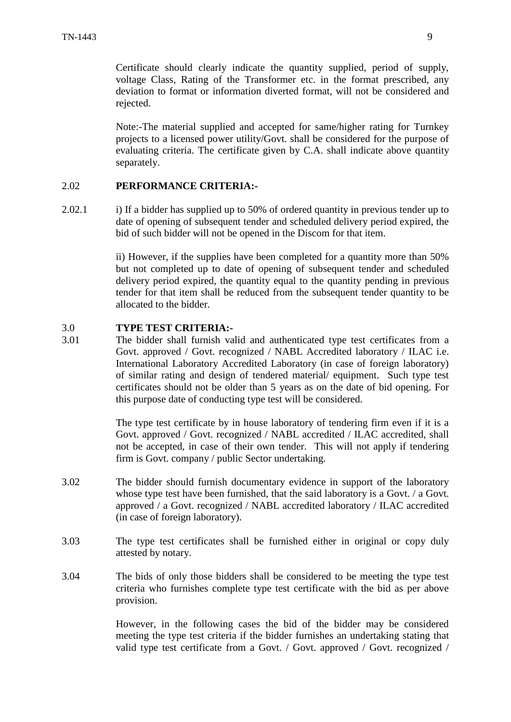Certificate should clearly indicate the quantity supplied, period of supply, voltage Class, Rating of the Transformer etc. in the format prescribed, any deviation to format or information diverted format, will not be considered and rejected.

Note:-The material supplied and accepted for same/higher rating for Turnkey projects to a licensed power utility/Govt. shall be considered for the purpose of evaluating criteria. The certificate given by C.A. shall indicate above quantity separately.

## 2.02 **PERFORMANCE CRITERIA:-**

2.02.1 i) If a bidder has supplied up to 50% of ordered quantity in previous tender up to date of opening of subsequent tender and scheduled delivery period expired, the bid of such bidder will not be opened in the Discom for that item.

> ii) However, if the supplies have been completed for a quantity more than 50% but not completed up to date of opening of subsequent tender and scheduled delivery period expired, the quantity equal to the quantity pending in previous tender for that item shall be reduced from the subsequent tender quantity to be allocated to the bidder.

#### 3.0 **TYPE TEST CRITERIA:-**

3.01 The bidder shall furnish valid and authenticated type test certificates from a Govt. approved / Govt. recognized / NABL Accredited laboratory / ILAC i.e. International Laboratory Accredited Laboratory (in case of foreign laboratory) of similar rating and design of tendered material/ equipment. Such type test certificates should not be older than 5 years as on the date of bid opening. For this purpose date of conducting type test will be considered.

> The type test certificate by in house laboratory of tendering firm even if it is a Govt. approved / Govt. recognized / NABL accredited / ILAC accredited, shall not be accepted, in case of their own tender. This will not apply if tendering firm is Govt. company / public Sector undertaking.

- 3.02 The bidder should furnish documentary evidence in support of the laboratory whose type test have been furnished, that the said laboratory is a Govt. / a Govt. approved / a Govt. recognized / NABL accredited laboratory / ILAC accredited (in case of foreign laboratory).
- 3.03 The type test certificates shall be furnished either in original or copy duly attested by notary.
- 3.04 The bids of only those bidders shall be considered to be meeting the type test criteria who furnishes complete type test certificate with the bid as per above provision.

However, in the following cases the bid of the bidder may be considered meeting the type test criteria if the bidder furnishes an undertaking stating that valid type test certificate from a Govt. / Govt. approved / Govt. recognized /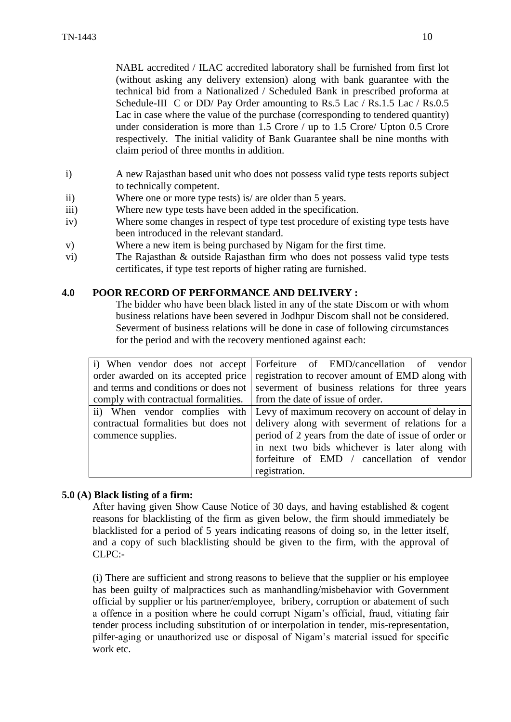NABL accredited / ILAC accredited laboratory shall be furnished from first lot (without asking any delivery extension) along with bank guarantee with the technical bid from a Nationalized / Scheduled Bank in prescribed proforma at Schedule-III C or DD/ Pay Order amounting to Rs.5 Lac / Rs.1.5 Lac / Rs.0.5 Lac in case where the value of the purchase (corresponding to tendered quantity) under consideration is more than 1.5 Crore / up to 1.5 Crore/ Upton 0.5 Crore respectively. The initial validity of Bank Guarantee shall be nine months with claim period of three months in addition.

- i) A new Rajasthan based unit who does not possess valid type tests reports subject to technically competent.
- ii) Where one or more type tests) is/ are older than 5 years.
- iii) Where new type tests have been added in the specification.
- iv) Where some changes in respect of type test procedure of existing type tests have been introduced in the relevant standard.
- v) Where a new item is being purchased by Nigam for the first time.
- vi) The Rajasthan & outside Rajasthan firm who does not possess valid type tests certificates, if type test reports of higher rating are furnished.

#### **4.0 POOR RECORD OF PERFORMANCE AND DELIVERY :**

The bidder who have been black listed in any of the state Discom or with whom business relations have been severed in Jodhpur Discom shall not be considered. Severment of business relations will be done in case of following circumstances for the period and with the recovery mentioned against each:

| i) When vendor does not accept                                          | Forfeiture of EMD/cancellation of vendor                                      |
|-------------------------------------------------------------------------|-------------------------------------------------------------------------------|
| order awarded on its accepted price                                     | registration to recover amount of EMD along with                              |
| and terms and conditions or does not                                    | severment of business relations for three years                               |
| comply with contractual formalities.   from the date of issue of order. |                                                                               |
|                                                                         | ii) When vendor complies with Levy of maximum recovery on account of delay in |
| contractual formalities but does not                                    | delivery along with severment of relations for a                              |
| commence supplies.                                                      | period of 2 years from the date of issue of order or                          |
|                                                                         | in next two bids whichever is later along with                                |
|                                                                         | forfeiture of EMD / cancellation of vendor                                    |
|                                                                         | registration.                                                                 |

## **5.0 (A) Black listing of a firm:**

After having given Show Cause Notice of 30 days, and having established & cogent reasons for blacklisting of the firm as given below, the firm should immediately be blacklisted for a period of 5 years indicating reasons of doing so, in the letter itself, and a copy of such blacklisting should be given to the firm, with the approval of CLPC:-

(i) There are sufficient and strong reasons to believe that the supplier or his employee has been guilty of malpractices such as manhandling/misbehavior with Government official by supplier or his partner/employee, bribery, corruption or abatement of such a offence in a position where he could corrupt Nigam"s official, fraud, vitiating fair tender process including substitution of or interpolation in tender, mis-representation, pilfer-aging or unauthorized use or disposal of Nigam"s material issued for specific work etc.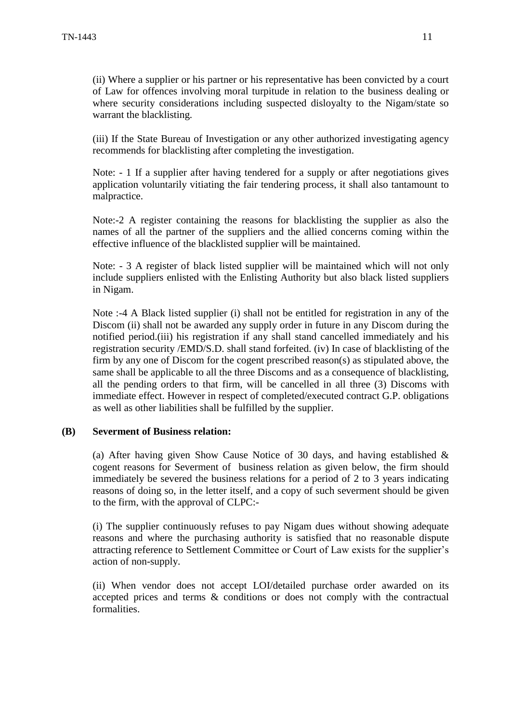(ii) Where a supplier or his partner or his representative has been convicted by a court of Law for offences involving moral turpitude in relation to the business dealing or where security considerations including suspected disloyalty to the Nigam/state so warrant the blacklisting.

(iii) If the State Bureau of Investigation or any other authorized investigating agency recommends for blacklisting after completing the investigation.

Note: - 1 If a supplier after having tendered for a supply or after negotiations gives application voluntarily vitiating the fair tendering process, it shall also tantamount to malpractice.

Note:-2 A register containing the reasons for blacklisting the supplier as also the names of all the partner of the suppliers and the allied concerns coming within the effective influence of the blacklisted supplier will be maintained.

Note: - 3 A register of black listed supplier will be maintained which will not only include suppliers enlisted with the Enlisting Authority but also black listed suppliers in Nigam.

Note :-4 A Black listed supplier (i) shall not be entitled for registration in any of the Discom (ii) shall not be awarded any supply order in future in any Discom during the notified period.(iii) his registration if any shall stand cancelled immediately and his registration security /EMD/S.D. shall stand forfeited. (iv) In case of blacklisting of the firm by any one of Discom for the cogent prescribed reason(s) as stipulated above, the same shall be applicable to all the three Discoms and as a consequence of blacklisting, all the pending orders to that firm, will be cancelled in all three (3) Discoms with immediate effect. However in respect of completed/executed contract G.P. obligations as well as other liabilities shall be fulfilled by the supplier.

#### **(B) Severment of Business relation:**

(a) After having given Show Cause Notice of 30 days, and having established  $\&$ cogent reasons for Severment of business relation as given below, the firm should immediately be severed the business relations for a period of 2 to 3 years indicating reasons of doing so, in the letter itself, and a copy of such severment should be given to the firm, with the approval of CLPC:-

(i) The supplier continuously refuses to pay Nigam dues without showing adequate reasons and where the purchasing authority is satisfied that no reasonable dispute attracting reference to Settlement Committee or Court of Law exists for the supplier"s action of non-supply.

(ii) When vendor does not accept LOI/detailed purchase order awarded on its accepted prices and terms & conditions or does not comply with the contractual formalities.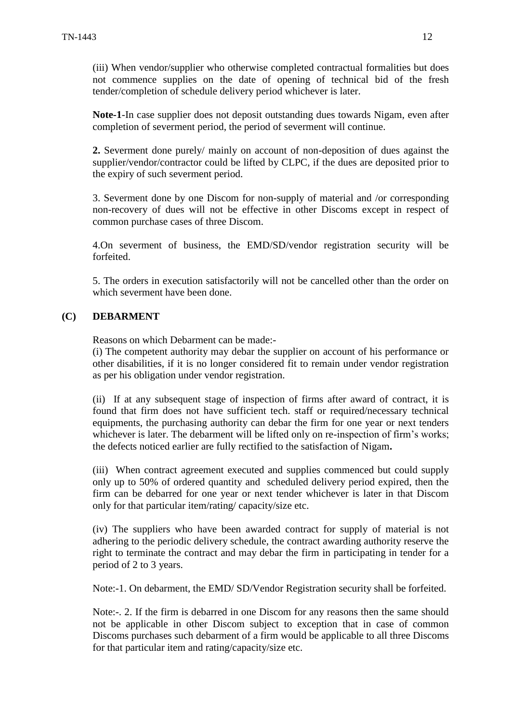(iii) When vendor/supplier who otherwise completed contractual formalities but does not commence supplies on the date of opening of technical bid of the fresh tender/completion of schedule delivery period whichever is later.

**Note-1**-In case supplier does not deposit outstanding dues towards Nigam, even after completion of severment period, the period of severment will continue.

**2.** Severment done purely/ mainly on account of non-deposition of dues against the supplier/vendor/contractor could be lifted by CLPC, if the dues are deposited prior to the expiry of such severment period.

3. Severment done by one Discom for non-supply of material and /or corresponding non-recovery of dues will not be effective in other Discoms except in respect of common purchase cases of three Discom.

4.On severment of business, the EMD/SD/vendor registration security will be forfeited.

5. The orders in execution satisfactorily will not be cancelled other than the order on which severment have been done.

#### **(C) DEBARMENT**

Reasons on which Debarment can be made:-

(i) The competent authority may debar the supplier on account of his performance or other disabilities, if it is no longer considered fit to remain under vendor registration as per his obligation under vendor registration.

(ii) If at any subsequent stage of inspection of firms after award of contract, it is found that firm does not have sufficient tech. staff or required/necessary technical equipments, the purchasing authority can debar the firm for one year or next tenders whichever is later. The debarment will be lifted only on re-inspection of firm's works; the defects noticed earlier are fully rectified to the satisfaction of Nigam**.** 

(iii) When contract agreement executed and supplies commenced but could supply only up to 50% of ordered quantity and scheduled delivery period expired, then the firm can be debarred for one year or next tender whichever is later in that Discom only for that particular item/rating/ capacity/size etc.

(iv) The suppliers who have been awarded contract for supply of material is not adhering to the periodic delivery schedule, the contract awarding authority reserve the right to terminate the contract and may debar the firm in participating in tender for a period of 2 to 3 years.

Note:-1. On debarment, the EMD/ SD/Vendor Registration security shall be forfeited.

Note:-. 2. If the firm is debarred in one Discom for any reasons then the same should not be applicable in other Discom subject to exception that in case of common Discoms purchases such debarment of a firm would be applicable to all three Discoms for that particular item and rating/capacity/size etc.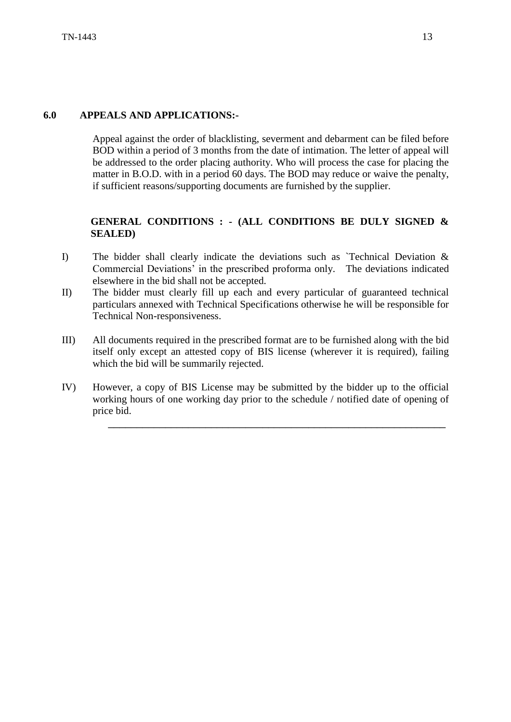Appeal against the order of blacklisting, severment and debarment can be filed before BOD within a period of 3 months from the date of intimation. The letter of appeal will be addressed to the order placing authority. Who will process the case for placing the matter in B.O.D. with in a period 60 days. The BOD may reduce or waive the penalty, if sufficient reasons/supporting documents are furnished by the supplier.

## **GENERAL CONDITIONS : - (ALL CONDITIONS BE DULY SIGNED & SEALED)**

- I) The bidder shall clearly indicate the deviations such as `Technical Deviation & Commercial Deviations" in the prescribed proforma only. The deviations indicated elsewhere in the bid shall not be accepted.
- II) The bidder must clearly fill up each and every particular of guaranteed technical particulars annexed with Technical Specifications otherwise he will be responsible for Technical Non-responsiveness.
- III) All documents required in the prescribed format are to be furnished along with the bid itself only except an attested copy of BIS license (wherever it is required), failing which the bid will be summarily rejected.
- IV) However, a copy of BIS License may be submitted by the bidder up to the official working hours of one working day prior to the schedule / notified date of opening of price bid.

\_\_\_\_\_\_\_\_\_\_\_\_\_\_\_\_\_\_\_\_\_\_\_\_\_\_\_\_\_\_\_\_\_\_\_\_\_\_\_\_\_\_\_\_\_\_\_\_\_\_\_\_\_\_\_\_\_\_\_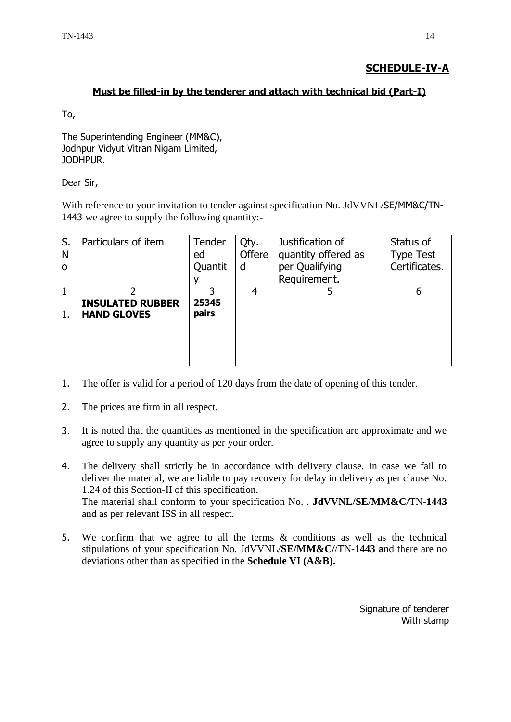## **SCHEDULE-IV-A**

#### **Must be filled-in by the tenderer and attach with technical bid (Part-I)**

To,

The Superintending Engineer (MM&C), Jodhpur Vidyut Vitran Nigam Limited, JODHPUR.

Dear Sir,

With reference to your invitation to tender against specification No. JdVVNL/SE/MM&C/TN-1443 we agree to supply the following quantity:-

| S.<br>N | Particulars of item                           | Tender<br>ed   | Qty.<br><b>Offere</b> | Justification of<br>quantity offered as | Status of<br><b>Type Test</b> |
|---------|-----------------------------------------------|----------------|-----------------------|-----------------------------------------|-------------------------------|
| Ω       |                                               | Quantit        | d                     | per Qualifying                          | Certificates.                 |
|         |                                               |                |                       | Requirement.                            |                               |
|         |                                               |                |                       |                                         | 6                             |
| 1.      | <b>INSULATED RUBBER</b><br><b>HAND GLOVES</b> | 25345<br>pairs |                       |                                         |                               |

- 1. The offer is valid for a period of 120 days from the date of opening of this tender.
- 2. The prices are firm in all respect.
- 3. It is noted that the quantities as mentioned in the specification are approximate and we agree to supply any quantity as per your order.
- 4. The delivery shall strictly be in accordance with delivery clause. In case we fail to deliver the material, we are liable to pay recovery for delay in delivery as per clause No. 1.24 of this Section-II of this specification. The material shall conform to your specification No. . **JdVVNL/SE/MM&C/**TN-**1443** and as per relevant ISS in all respect.
- 5. We confirm that we agree to all the terms & conditions as well as the technical stipulations of your specification No. JdVVNL/**SE/MM&C/**/TN**-1443 a**nd there are no deviations other than as specified in the **Schedule VI (A&B).**

Signature of tenderer With stamp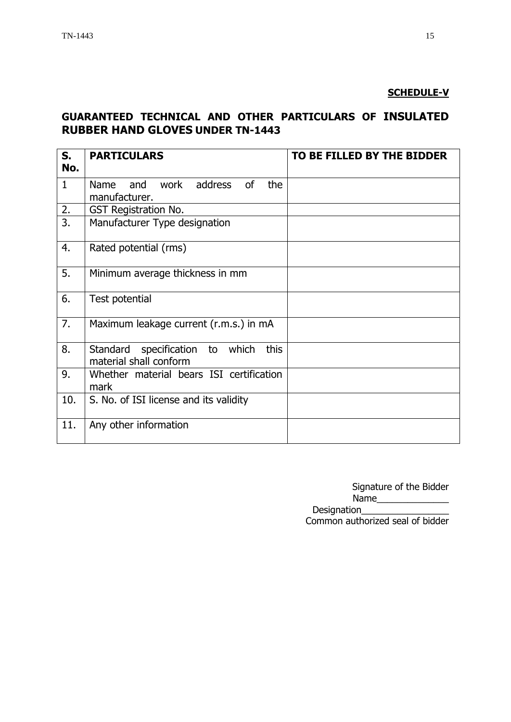## **SCHEDULE-V**

## **GUARANTEED TECHNICAL AND OTHER PARTICULARS OF INSULATED RUBBER HAND GLOVES UNDER TN-1443**

| S.<br>No.        | <b>PARTICULARS</b>                                                | TO BE FILLED BY THE BIDDER |
|------------------|-------------------------------------------------------------------|----------------------------|
| $\mathbf{1}$     | work<br>address<br>the<br>Name and<br><b>of</b><br>manufacturer.  |                            |
| 2.               | <b>GST Registration No.</b>                                       |                            |
| $\overline{3}$ . | Manufacturer Type designation                                     |                            |
| 4.               | Rated potential (rms)                                             |                            |
| 5.               | Minimum average thickness in mm                                   |                            |
| 6.               | Test potential                                                    |                            |
| 7.               | Maximum leakage current (r.m.s.) in mA                            |                            |
| 8.               | Standard specification to which<br>this<br>material shall conform |                            |
| 9.               | Whether material bears ISI certification<br>mark                  |                            |
| 10.              | S. No. of ISI license and its validity                            |                            |
| 11.              | Any other information                                             |                            |

Signature of the Bidder Name\_\_\_\_\_\_\_\_\_\_\_\_\_\_ Designation\_\_\_\_\_\_\_\_\_\_\_\_\_\_\_\_\_ Common authorized seal of bidder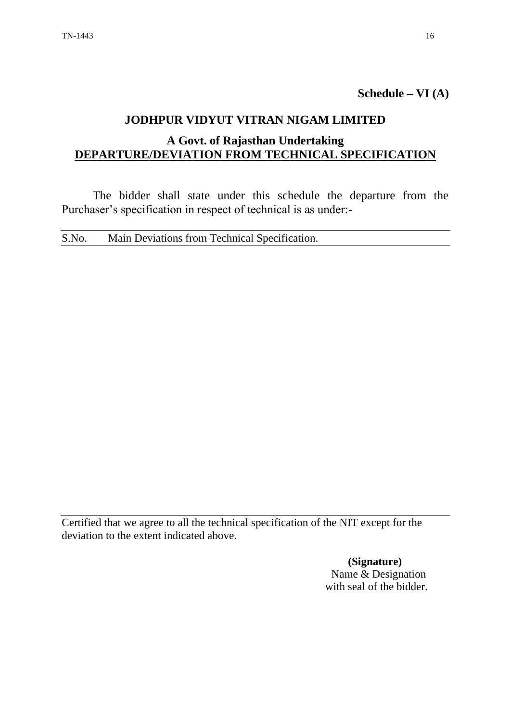**Schedule – VI (A)**

## **JODHPUR VIDYUT VITRAN NIGAM LIMITED**

## **A Govt. of Rajasthan Undertaking DEPARTURE/DEVIATION FROM TECHNICAL SPECIFICATION**

The bidder shall state under this schedule the departure from the Purchaser's specification in respect of technical is as under:-

S.No. Main Deviations from Technical Specification.

Certified that we agree to all the technical specification of the NIT except for the deviation to the extent indicated above.

> **(Signature)** Name & Designation with seal of the bidder.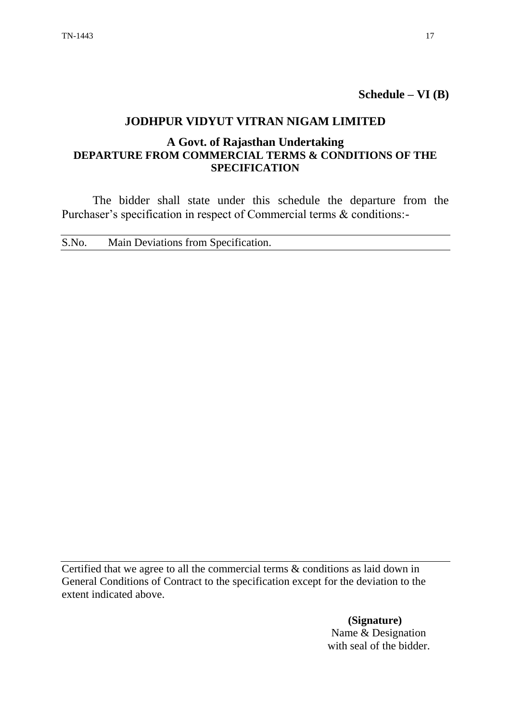**Schedule – VI (B)**

## **JODHPUR VIDYUT VITRAN NIGAM LIMITED**

## **A Govt. of Rajasthan Undertaking DEPARTURE FROM COMMERCIAL TERMS & CONDITIONS OF THE SPECIFICATION**

The bidder shall state under this schedule the departure from the Purchaser's specification in respect of Commercial terms & conditions:-

S.No. Main Deviations from Specification.

Certified that we agree to all the commercial terms & conditions as laid down in General Conditions of Contract to the specification except for the deviation to the extent indicated above.

> **(Signature)** Name & Designation with seal of the bidder.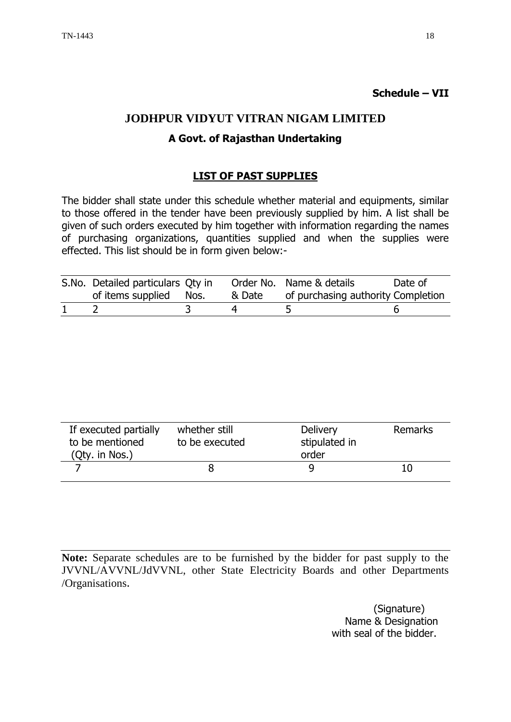## **JODHPUR VIDYUT VITRAN NIGAM LIMITED**

## **A Govt. of Rajasthan Undertaking**

## **LIST OF PAST SUPPLIES**

The bidder shall state under this schedule whether material and equipments, similar to those offered in the tender have been previously supplied by him. A list shall be given of such orders executed by him together with information regarding the names of purchasing organizations, quantities supplied and when the supplies were effected. This list should be in form given below:-

| S.No. Detailed particulars Qty in |        | Order No. Name & details           | Date of |
|-----------------------------------|--------|------------------------------------|---------|
| of items supplied Nos.            | & Date | of purchasing authority Completion |         |
|                                   |        |                                    |         |

| If executed partially<br>whether still<br>to be mentioned<br>to be executed<br>(Qty. in Nos.) |  | <b>Delivery</b><br>stipulated in<br>order | <b>Remarks</b> |
|-----------------------------------------------------------------------------------------------|--|-------------------------------------------|----------------|
|                                                                                               |  |                                           |                |

**Note:** Separate schedules are to be furnished by the bidder for past supply to the JVVNL/AVVNL/JdVVNL, other State Electricity Boards and other Departments /Organisations.

> (Signature) Name & Designation with seal of the bidder.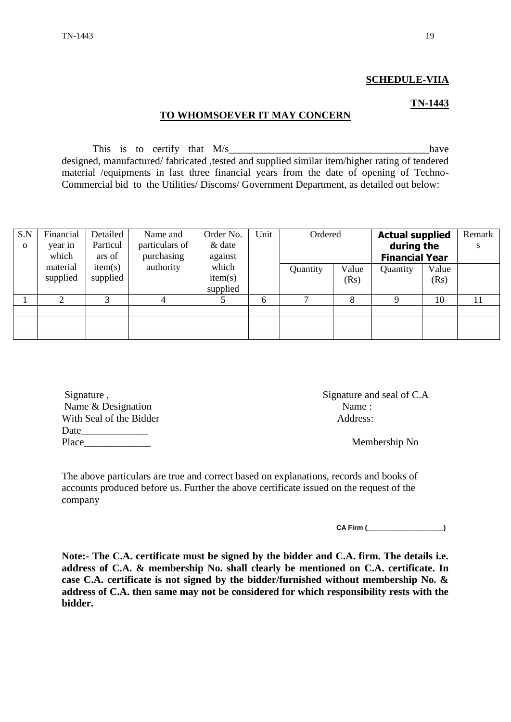#### **SCHEDULE-VIIA**

#### **TN-1443**

#### **TO WHOMSOEVER IT MAY CONCERN**

This is to certify that  $M/s$  have designed, manufactured/ fabricated ,tested and supplied similar item/higher rating of tendered material /equipments in last three financial years from the date of opening of Techno-Commercial bid to the Utilities/ Discoms/ Government Department, as detailed out below:

| S.N          | Financial | Detailed | Name and       | Order No. | Unit |          | Ordered |          | <b>Actual supplied</b> | Remark     |  |   |
|--------------|-----------|----------|----------------|-----------|------|----------|---------|----------|------------------------|------------|--|---|
| $\mathbf{o}$ | year in   | Particul | particulars of | & date    |      |          |         |          |                        | during the |  | S |
|              | which     | ars of   | purchasing     | against   |      |          |         |          | <b>Financial Year</b>  |            |  |   |
|              | material  | item(s)  | authority      | which     |      | Quantity | Value   | Quantity | Value                  |            |  |   |
|              | supplied  | supplied |                | item(s)   |      |          | (Rs)    |          | (Rs)                   |            |  |   |
|              |           |          |                | supplied  |      |          |         |          |                        |            |  |   |
|              |           | 3        |                |           | 6    |          | 8       |          | 10                     | 11         |  |   |
|              |           |          |                |           |      |          |         |          |                        |            |  |   |
|              |           |          |                |           |      |          |         |          |                        |            |  |   |
|              |           |          |                |           |      |          |         |          |                        |            |  |   |

| Signature,              | Signature and seal of C. |  |  |
|-------------------------|--------------------------|--|--|
| Name & Designation      | Name:                    |  |  |
| With Seal of the Bidder | Address:                 |  |  |
| Date                    |                          |  |  |
| Place                   | Membership No            |  |  |

Signature and seal of C.A.

The above particulars are true and correct based on explanations, records and books of accounts produced before us. Further the above certificate issued on the request of the company

**CA Firm (\_\_\_\_\_\_\_\_\_\_\_\_\_\_\_\_\_\_\_\_)**

**Note:- The C.A. certificate must be signed by the bidder and C.A. firm. The details i.e. address of C.A. & membership No. shall clearly be mentioned on C.A. certificate. In case C.A. certificate is not signed by the bidder/furnished without membership No. & address of C.A. then same may not be considered for which responsibility rests with the bidder.**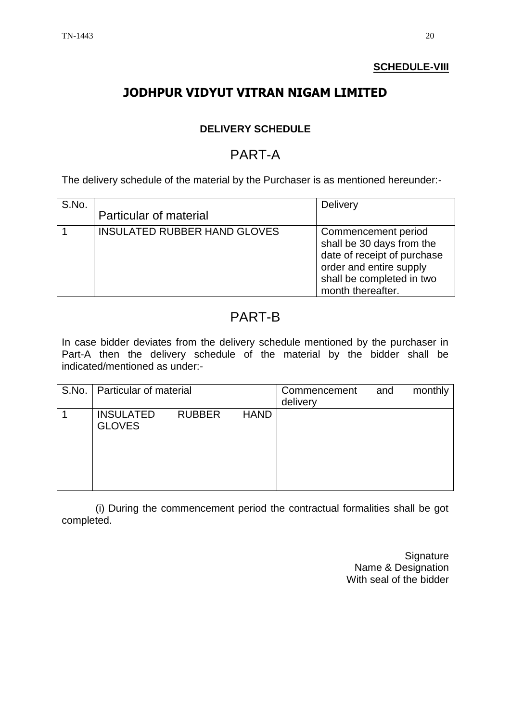## **SCHEDULE-VIII**

# **JODHPUR VIDYUT VITRAN NIGAM LIMITED**

## **DELIVERY SCHEDULE**

# PART-A

The delivery schedule of the material by the Purchaser is as mentioned hereunder:-

| S.No. | <b>Particular of material</b>       | <b>Delivery</b>                                                                                                                                              |
|-------|-------------------------------------|--------------------------------------------------------------------------------------------------------------------------------------------------------------|
|       | <b>INSULATED RUBBER HAND GLOVES</b> | Commencement period<br>shall be 30 days from the<br>date of receipt of purchase<br>order and entire supply<br>shall be completed in two<br>month thereafter. |

# PART-B

In case bidder deviates from the delivery schedule mentioned by the purchaser in Part-A then the delivery schedule of the material by the bidder shall be indicated/mentioned as under:-

| S.No.   Particular of material    |               |             | Commencement<br>delivery | and | monthly |
|-----------------------------------|---------------|-------------|--------------------------|-----|---------|
| <b>INSULATED</b><br><b>GLOVES</b> | <b>RUBBER</b> | <b>HAND</b> |                          |     |         |

(i) During the commencement period the contractual formalities shall be got completed.

> **Signature** Name & Designation With seal of the bidder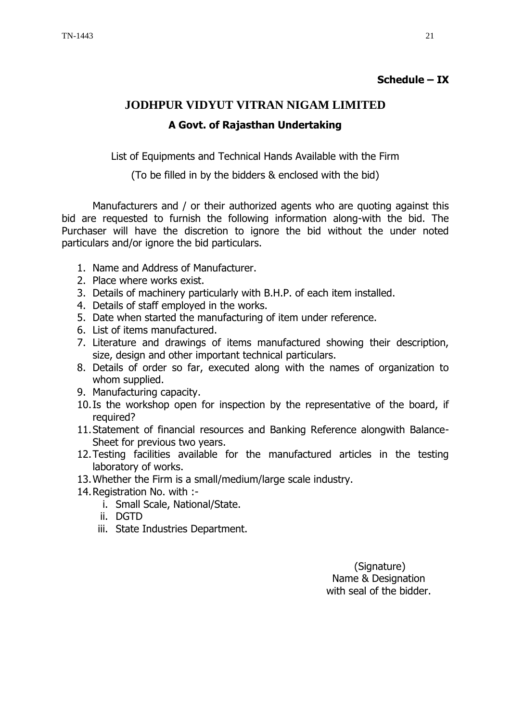## **Schedule – IX**

# **JODHPUR VIDYUT VITRAN NIGAM LIMITED A Govt. of Rajasthan Undertaking**

List of Equipments and Technical Hands Available with the Firm

(To be filled in by the bidders & enclosed with the bid)

Manufacturers and / or their authorized agents who are quoting against this bid are requested to furnish the following information along-with the bid. The Purchaser will have the discretion to ignore the bid without the under noted particulars and/or ignore the bid particulars.

- 1. Name and Address of Manufacturer.
- 2. Place where works exist.
- 3. Details of machinery particularly with B.H.P. of each item installed.
- 4. Details of staff employed in the works.
- 5. Date when started the manufacturing of item under reference.
- 6. List of items manufactured.
- 7. Literature and drawings of items manufactured showing their description, size, design and other important technical particulars.
- 8. Details of order so far, executed along with the names of organization to whom supplied.
- 9. Manufacturing capacity.
- 10.Is the workshop open for inspection by the representative of the board, if required?
- 11.Statement of financial resources and Banking Reference alongwith Balance-Sheet for previous two years.
- 12.Testing facilities available for the manufactured articles in the testing laboratory of works.
- 13.Whether the Firm is a small/medium/large scale industry.
- 14.Registration No. with :
	- i. Small Scale, National/State.
	- ii. DGTD
	- iii. State Industries Department.

 (Signature) Name & Designation with seal of the bidder.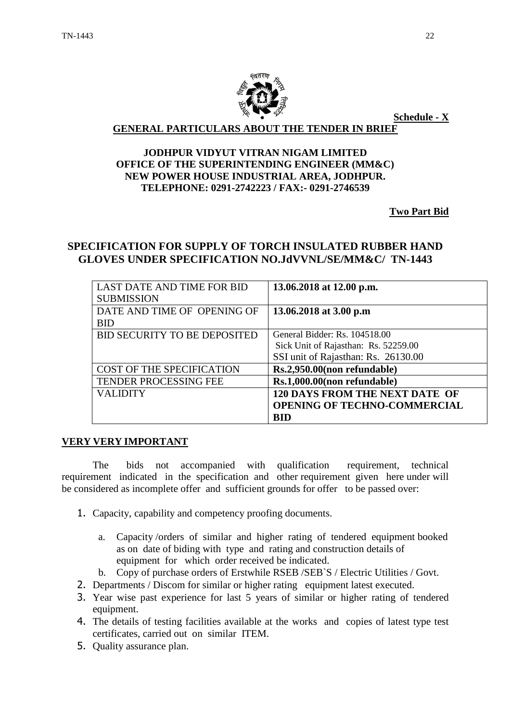

**Schedule - X**

**GENERAL PARTICULARS ABOUT THE TENDER IN BRIEF**

#### **JODHPUR VIDYUT VITRAN NIGAM LIMITED OFFICE OF THE SUPERINTENDING ENGINEER (MM&C) NEW POWER HOUSE INDUSTRIAL AREA, JODHPUR. TELEPHONE: 0291-2742223 / FAX:- 0291-2746539**

**Two Part Bid**

## **SPECIFICATION FOR SUPPLY OF TORCH INSULATED RUBBER HAND GLOVES UNDER SPECIFICATION NO.JdVVNL/SE/MM&C/ TN-1443**

| <b>LAST DATE AND TIME FOR BID</b>   | 13.06.2018 at 12.00 p.m.              |
|-------------------------------------|---------------------------------------|
| <b>SUBMISSION</b>                   |                                       |
| DATE AND TIME OF OPENING OF         | 13.06.2018 at 3.00 p.m                |
| <b>BID</b>                          |                                       |
| <b>BID SECURITY TO BE DEPOSITED</b> | General Bidder: Rs. 104518.00         |
|                                     | Sick Unit of Rajasthan: Rs. 52259.00  |
|                                     | SSI unit of Rajasthan: Rs. 26130.00   |
| COST OF THE SPECIFICATION           | Rs.2,950.00(non refundable)           |
| TENDER PROCESSING FEE               | Rs.1,000.00(non refundable)           |
| <b>VALIDITY</b>                     | <b>120 DAYS FROM THE NEXT DATE OF</b> |
|                                     | <b>OPENING OF TECHNO-COMMERCIAL</b>   |
|                                     | <b>BID</b>                            |

#### **VERY VERY IMPORTANT**

The bids not accompanied with qualification requirement, technical requirement indicated in the specification and other requirement given here under will be considered as incomplete offer and sufficient grounds for offer to be passed over:

- 1. Capacity, capability and competency proofing documents.
	- a. Capacity /orders of similar and higher rating of tendered equipment booked as on date of biding with type and rating and construction details of equipment for which order received be indicated.
	- b. Copy of purchase orders of Erstwhile RSEB /SEB`S / Electric Utilities / Govt.
- 2. Departments / Discom for similar or higher rating equipment latest executed.
- 3. Year wise past experience for last 5 years of similar or higher rating of tendered equipment.
- 4. The details of testing facilities available at the works and copies of latest type test certificates, carried out on similar ITEM.
- 5. Quality assurance plan.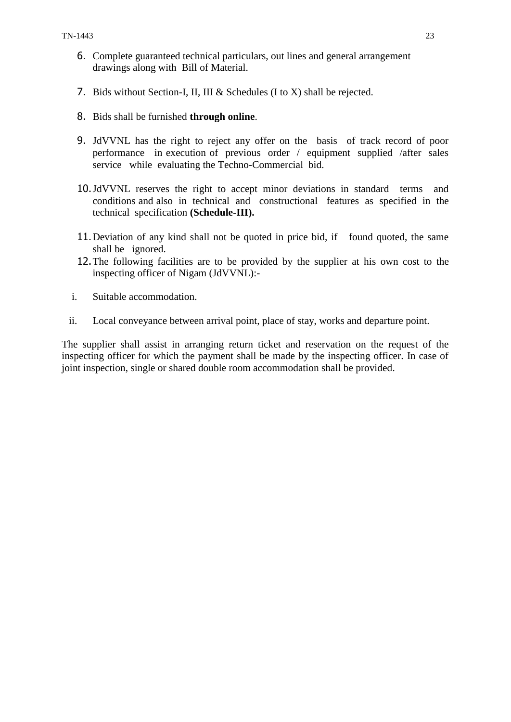- 6. Complete guaranteed technical particulars, out lines and general arrangement drawings along with Bill of Material.
- 7. Bids without Section-I, II, III & Schedules (I to X) shall be rejected.
- 8. Bids shall be furnished **through online**.
- 9. JdVVNL has the right to reject any offer on the basis of track record of poor performance in execution of previous order / equipment supplied /after sales service while evaluating the Techno-Commercial bid.
- 10.JdVVNL reserves the right to accept minor deviations in standard terms and conditions and also in technical and constructional features as specified in the technical specification **(Schedule-III).**
- 11.Deviation of any kind shall not be quoted in price bid, if found quoted, the same shall be ignored.
- 12.The following facilities are to be provided by the supplier at his own cost to the inspecting officer of Nigam (JdVVNL):-
- i. Suitable accommodation.
- ii. Local conveyance between arrival point, place of stay, works and departure point.

The supplier shall assist in arranging return ticket and reservation on the request of the inspecting officer for which the payment shall be made by the inspecting officer. In case of joint inspection, single or shared double room accommodation shall be provided.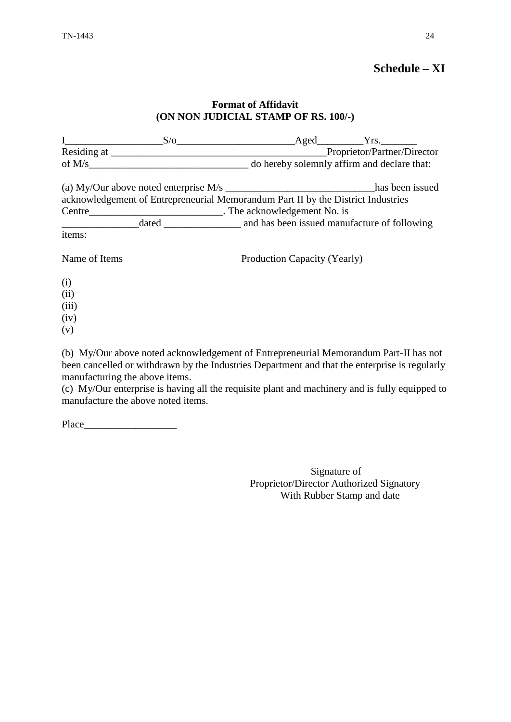## **Schedule – XI**

#### **Format of Affidavit (ON NON JUDICIAL STAMP OF RS. 100/-)**

|               | $S/\sigma$ |                                                                                  | Aged Yrs.                   |  |
|---------------|------------|----------------------------------------------------------------------------------|-----------------------------|--|
|               |            |                                                                                  | Proprietor/Partner/Director |  |
|               |            | do hereby solemnly affirm and declare that:                                      |                             |  |
|               |            |                                                                                  | has been issued             |  |
|               |            | acknowledgement of Entrepreneurial Memorandum Part II by the District Industries |                             |  |
| Centre        |            | The acknowledgement No. is                                                       |                             |  |
|               |            |                                                                                  |                             |  |
| items:        |            |                                                                                  |                             |  |
| Name of Items |            | Production Capacity (Yearly)                                                     |                             |  |
| (i)           |            |                                                                                  |                             |  |
| (ii)          |            |                                                                                  |                             |  |
| (iii)         |            |                                                                                  |                             |  |

- (iii)
- (iv)
- (v)

(b) My/Our above noted acknowledgement of Entrepreneurial Memorandum Part-II has not been cancelled or withdrawn by the Industries Department and that the enterprise is regularly manufacturing the above items.

(c) My/Our enterprise is having all the requisite plant and machinery and is fully equipped to manufacture the above noted items.

Place\_\_\_\_\_\_\_\_\_\_\_\_\_\_\_\_\_\_

Signature of Proprietor/Director Authorized Signatory With Rubber Stamp and date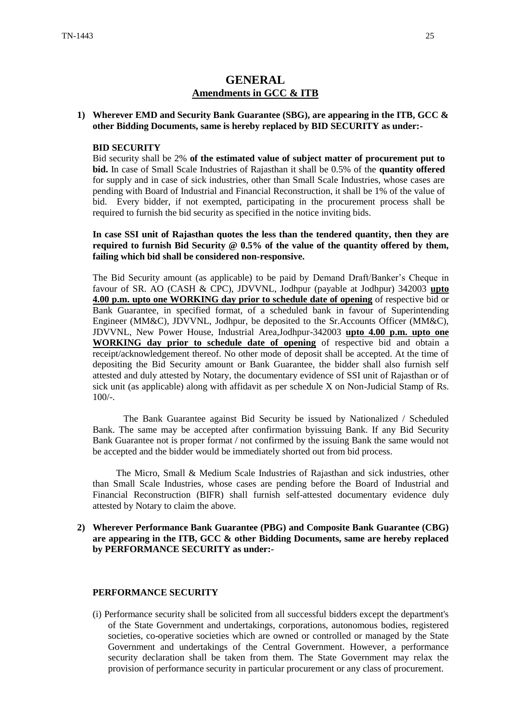## **GENERAL Amendments in GCC & ITB**

#### **1) Wherever EMD and Security Bank Guarantee (SBG), are appearing in the ITB, GCC & other Bidding Documents, same is hereby replaced by BID SECURITY as under:-**

#### **BID SECURITY**

Bid security shall be 2% **of the estimated value of subject matter of procurement put to bid.** In case of Small Scale Industries of Rajasthan it shall be 0.5% of the **quantity offered** for supply and in case of sick industries, other than Small Scale Industries, whose cases are pending with Board of Industrial and Financial Reconstruction, it shall be 1% of the value of bid. Every bidder, if not exempted, participating in the procurement process shall be required to furnish the bid security as specified in the notice inviting bids.

**In case SSI unit of Rajasthan quotes the less than the tendered quantity, then they are required to furnish Bid Security @ 0.5% of the value of the quantity offered by them, failing which bid shall be considered non-responsive.** 

The Bid Security amount (as applicable) to be paid by Demand Draft/Banker"s Cheque in favour of SR. AO (CASH & CPC), JDVVNL, Jodhpur (payable at Jodhpur) 342003 **upto 4.00 p.m. upto one WORKING day prior to schedule date of opening** of respective bid or Bank Guarantee, in specified format, of a scheduled bank in favour of Superintending Engineer (MM&C), JDVVNL, Jodhpur, be deposited to the Sr.Accounts Officer (MM&C), JDVVNL, New Power House, Industrial Area,Jodhpur-342003 **upto 4.00 p.m. upto one WORKING day prior to schedule date of opening** of respective bid and obtain a receipt/acknowledgement thereof. No other mode of deposit shall be accepted. At the time of depositing the Bid Security amount or Bank Guarantee, the bidder shall also furnish self attested and duly attested by Notary, the documentary evidence of SSI unit of Rajasthan or of sick unit (as applicable) along with affidavit as per schedule X on Non-Judicial Stamp of Rs. 100/-.

The Bank Guarantee against Bid Security be issued by Nationalized / Scheduled Bank. The same may be accepted after confirmation byissuing Bank. If any Bid Security Bank Guarantee not is proper format / not confirmed by the issuing Bank the same would not be accepted and the bidder would be immediately shorted out from bid process.

 The Micro, Small & Medium Scale Industries of Rajasthan and sick industries, other than Small Scale Industries, whose cases are pending before the Board of Industrial and Financial Reconstruction (BIFR) shall furnish self-attested documentary evidence duly attested by Notary to claim the above.

**2) Wherever Performance Bank Guarantee (PBG) and Composite Bank Guarantee (CBG) are appearing in the ITB, GCC & other Bidding Documents, same are hereby replaced by PERFORMANCE SECURITY as under:-**

#### **PERFORMANCE SECURITY**

(i) Performance security shall be solicited from all successful bidders except the department's of the State Government and undertakings, corporations, autonomous bodies, registered societies, co-operative societies which are owned or controlled or managed by the State Government and undertakings of the Central Government. However, a performance security declaration shall be taken from them. The State Government may relax the provision of performance security in particular procurement or any class of procurement.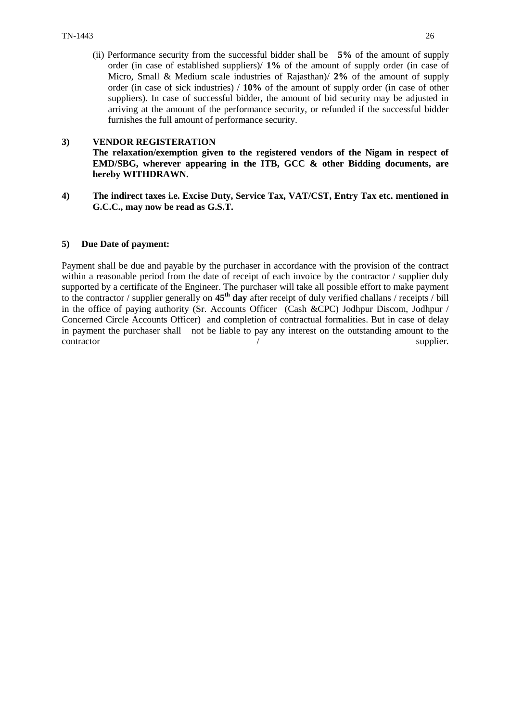(ii) Performance security from the successful bidder shall be **5%** of the amount of supply order (in case of established suppliers)/ **1%** of the amount of supply order (in case of Micro, Small & Medium scale industries of Rajasthan)/ **2%** of the amount of supply order (in case of sick industries) / **10%** of the amount of supply order (in case of other suppliers). In case of successful bidder, the amount of bid security may be adjusted in arriving at the amount of the performance security, or refunded if the successful bidder furnishes the full amount of performance security.

#### **3) VENDOR REGISTERATION**

**The relaxation/exemption given to the registered vendors of the Nigam in respect of EMD/SBG, wherever appearing in the ITB, GCC & other Bidding documents, are hereby WITHDRAWN.**

**4) The indirect taxes i.e. Excise Duty, Service Tax, VAT/CST, Entry Tax etc. mentioned in G.C.C., may now be read as G.S.T.**

#### **5) Due Date of payment:**

Payment shall be due and payable by the purchaser in accordance with the provision of the contract within a reasonable period from the date of receipt of each invoice by the contractor / supplier duly supported by a certificate of the Engineer. The purchaser will take all possible effort to make payment to the contractor / supplier generally on **45th day** after receipt of duly verified challans / receipts / bill in the office of paying authority (Sr. Accounts Officer (Cash &CPC) Jodhpur Discom, Jodhpur / Concerned Circle Accounts Officer) and completion of contractual formalities. But in case of delay in payment the purchaser shall not be liable to pay any interest on the outstanding amount to the contractor / supplier.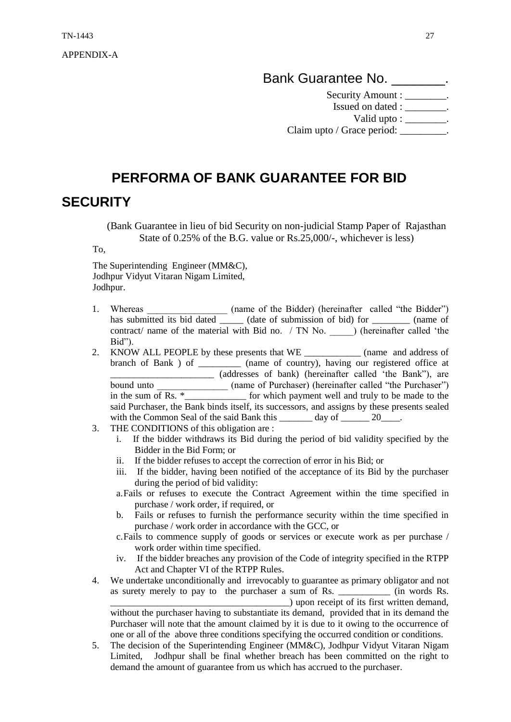APPENDIX-A

Bank Guarantee No. **\_\_\_\_\_\_**.

Security Amount : \_\_\_\_\_\_\_\_.

Issued on dated : \_\_\_\_\_\_\_\_. Valid upto :  $\qquad \qquad$ .

Claim upto / Grace period: \_\_\_\_\_\_\_\_\_.

# **PERFORMA OF BANK GUARANTEE FOR BID**

# **SECURITY**

(Bank Guarantee in lieu of bid Security on non-judicial Stamp Paper of Rajasthan State of 0.25% of the B.G. value or Rs.25,000/-, whichever is less)

To,

The Superintending Engineer (MM&C), Jodhpur Vidyut Vitaran Nigam Limited, Jodhpur.

- 1. Whereas \_\_\_\_\_\_\_\_\_\_\_\_\_\_\_\_\_\_\_\_ (name of the Bidder) (hereinafter called "the Bidder") has submitted its bid dated \_\_\_\_\_\_ (date of submission of bid) for \_\_\_\_\_\_\_\_\_ (name of contract/ name of the material with Bid no. / TN No. ) (hereinafter called 'the Bid").
- 2. KNOW ALL PEOPLE by these presents that WE \_\_\_\_\_\_\_\_\_\_\_\_ (name and address of branch of Bank ) of \_\_\_\_\_\_\_\_\_ (name of country), having our registered office at \_\_\_\_\_\_\_\_\_\_\_\_\_\_\_\_\_\_\_\_\_\_ (addresses of bank) (hereinafter called "the Bank"), are bound unto \_\_\_\_\_\_\_\_\_\_\_\_\_\_\_\_\_\_\_\_\_ (name of Purchaser) (hereinafter called "the Purchaser") in the sum of Rs.  $*$ \_\_\_\_\_\_\_\_\_\_\_\_\_\_\_\_\_ for which payment well and truly to be made to the said Purchaser, the Bank binds itself, its successors, and assigns by these presents sealed with the Common Seal of the said Bank this \_\_\_\_\_\_\_ day of \_\_\_\_\_\_ 20\_\_\_\_.
- 3. THE CONDITIONS of this obligation are :
	- i. If the bidder withdraws its Bid during the period of bid validity specified by the Bidder in the Bid Form; or
	- ii. If the bidder refuses to accept the correction of error in his Bid; or
	- iii. If the bidder, having been notified of the acceptance of its Bid by the purchaser during the period of bid validity:
	- a.Fails or refuses to execute the Contract Agreement within the time specified in purchase / work order, if required, or
	- b. Fails or refuses to furnish the performance security within the time specified in purchase / work order in accordance with the GCC, or
	- c.Fails to commence supply of goods or services or execute work as per purchase / work order within time specified.
	- iv. If the bidder breaches any provision of the Code of integrity specified in the RTPP Act and Chapter VI of the RTPP Rules.
- 4. We undertake unconditionally and irrevocably to guarantee as primary obligator and not as surety merely to pay to the purchaser a sum of Rs. \_\_\_\_\_\_\_\_\_\_\_ (in words Rs.

\_\_\_\_\_\_\_\_\_\_\_\_\_\_\_\_\_\_\_\_\_\_\_\_\_\_\_\_\_\_\_\_\_\_\_\_\_\_) upon receipt of its first written demand, without the purchaser having to substantiate its demand, provided that in its demand the Purchaser will note that the amount claimed by it is due to it owing to the occurrence of one or all of the above three conditions specifying the occurred condition or conditions.

5. The decision of the Superintending Engineer (MM&C), Jodhpur Vidyut Vitaran Nigam Limited, Jodhpur shall be final whether breach has been committed on the right to demand the amount of guarantee from us which has accrued to the purchaser.